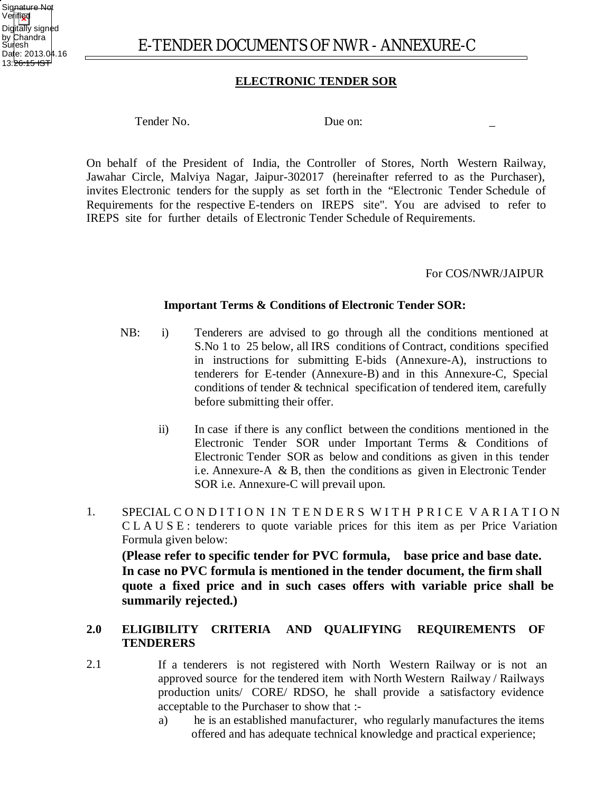

# **ELECTRONIC TENDER SOR**

Tender No. Due on:

On behalf of the President of India, the Controller of Stores, North Western Railway, Jawahar Circle, Malviya Nagar, Jaipur-302017 (hereinafter referred to as the Purchaser), invites Electronic tenders for the supply as set forth in the "Electronic Tender Schedule of Requirements for the respective E-tenders on IREPS site". You are advised to refer to IREPS site for further details of Electronic Tender Schedule of Requirements.

#### For COS/NWR/JAIPUR

#### **Important Terms & Conditions of Electronic Tender SOR:**

- NB: i) Tenderers are advised to go through all the conditions mentioned at S.No 1 to 25 below, all IRS conditions of Contract, conditions specified in instructions for submitting E-bids (Annexure-A), instructions to tenderers for E-tender (Annexure-B) and in this Annexure-C, Special conditions of tender & technical specification of tendered item, carefully before submitting their offer.
	- ii) In case if there is any conflict between the conditions mentioned in the Electronic Tender SOR under Important Terms & Conditions of Electronic Tender SOR as below and conditions as given in this tender i.e. Annexure-A & B, then the conditions as given in Electronic Tender SOR i.e. Annexure-C will prevail upon.
- 1. SPECIAL CONDITION IN TENDERS WITH PRICE VARIATION C L A U S E : tenderers to quote variable prices for this item as per Price Variation Formula given below:

**(Please refer to specific tender for PVC formula, base price and base date. In case no PVC formula is mentioned in the tender document, the firm shall quote a fixed price and in such cases offers with variable price shall be summarily rejected.)** 

#### 2.0 **ELIGIBILITY CRITERIA AND QUALIFYING TENDERERS REQUIREMENTS OF**

- 2.1 If a tenderers is not registered with North Western Railway or is not an approved source for the tendered item with North Western Railway / Railways production units/ CORE/ RDSO, he shall provide a satisfactory evidence acceptable to the Purchaser to show that :
	- a) he is an established manufacturer, who regularly manufactures the items offered and has adequate technical knowledge and practical experience;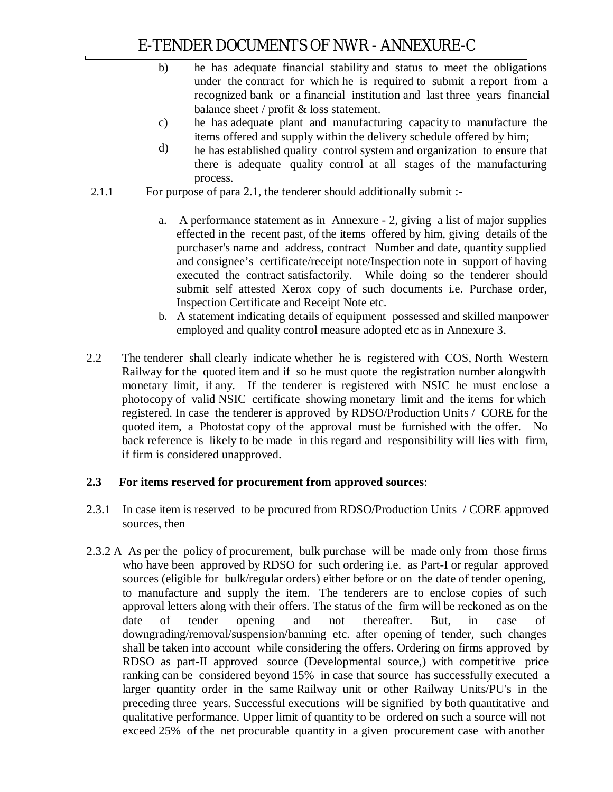- b) he has adequate financial stability and status to meet the obligations under the contract for which he is required to submit a report from a recognized bank or a financial institution and last three years financial balance sheet / profit & loss statement.
- c) he has adequate plant and manufacturing capacity to manufacture the items offered and supply within the delivery schedule offered by him;
- d) he has established quality control system and organization to ensure that there is adequate quality control at all stages of the manufacturing process.
- 2.1.1 For purpose of para 2.1, the tenderer should additionally submit :
	- a. A performance statement as in Annexure 2, giving a list of major supplies effected in the recent past, of the items offered by him, giving details of the purchaser's name and address, contract Number and date, quantity supplied and consignee's certificate/receipt note/Inspection note in support of having executed the contract satisfactorily. While doing so the tenderer should submit self attested Xerox copy of such documents i.e. Purchase order, Inspection Certificate and Receipt Note etc.
	- b. A statement indicating details of equipment possessed and skilled manpower employed and quality control measure adopted etc as in Annexure 3.
- 2.2 The tenderer shall clearly indicate whether he is registered with COS, North Western Railway for the quoted item and if so he must quote the registration number alongwith monetary limit, if any. If the tenderer is registered with NSIC he must enclose a photocopy of valid NSIC certificate showing monetary limit and the items for which registered. In case the tenderer is approved by RDSO/Production Units / CORE for the quoted item, a Photostat copy of the approval must be furnished with the offer. No back reference is likely to be made in this regard and responsibility will lies with firm, if firm is considered unapproved.

# **2.3 For items reserved for procurement from approved sources**:

- 2.3.1 In case item is reserved to be procured from RDSO/Production Units / CORE approved sources, then
- 2.3.2 A As per the policy of procurement, bulk purchase will be made only from those firms who have been approved by RDSO for such ordering i.e. as Part-I or regular approved sources (eligible for bulk/regular orders) either before or on the date of tender opening, to manufacture and supply the item. The tenderers are to enclose copies of such approval letters along with their offers. The status of the firm will be reckoned as on the date of tender opening and not thereafter. But, in case of downgrading/removal/suspension/banning etc. after opening of tender, such changes shall be taken into account while considering the offers. Ordering on firms approved by RDSO as part-II approved source (Developmental source,) with competitive price ranking can be considered beyond 15% in case that source has successfully executed a larger quantity order in the same Railway unit or other Railway Units/PU's in the preceding three years. Successful executions will be signified by both quantitative and qualitative performance. Upper limit of quantity to be ordered on such a source will not exceed 25% of the net procurable quantity in a given procurement case with another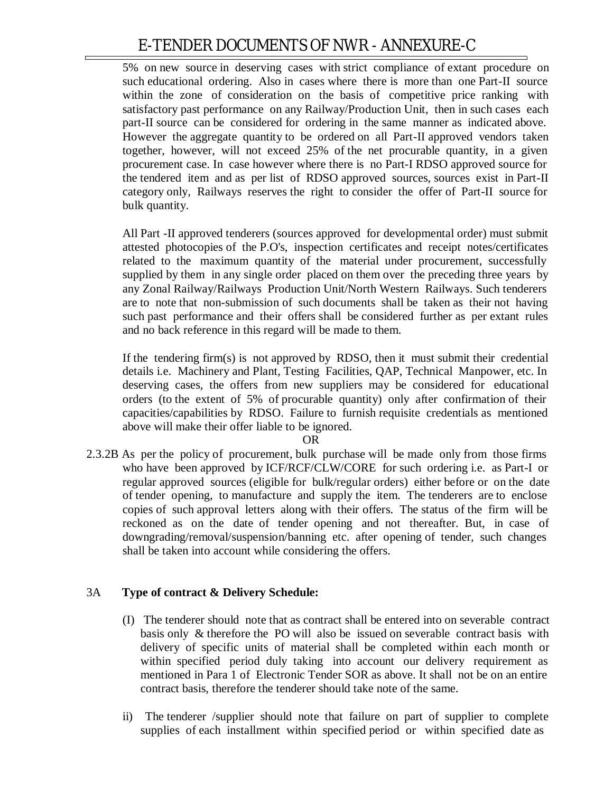5% on new source in deserving cases with strict compliance of extant procedure on such educational ordering. Also in cases where there is more than one Part-II source within the zone of consideration on the basis of competitive price ranking with satisfactory past performance on any Railway/Production Unit, then in such cases each part-II source can be considered for ordering in the same manner as indicated above. However the aggregate quantity to be ordered on all Part-II approved vendors taken together, however, will not exceed 25% of the net procurable quantity, in a given procurement case. In case however where there is no Part-I RDSO approved source for the tendered item and as per list of RDSO approved sources, sources exist in Part-II category only, Railways reserves the right to consider the offer of Part-II source for bulk quantity.

All Part -II approved tenderers (sources approved for developmental order) must submit attested photocopies of the P.O's, inspection certificates and receipt notes/certificates related to the maximum quantity of the material under procurement, successfully supplied by them in any single order placed on them over the preceding three years by any Zonal Railway/Railways Production Unit/North Western Railways. Such tenderers are to note that non-submission of such documents shall be taken as their not having such past performance and their offers shall be considered further as per extant rules and no back reference in this regard will be made to them.

If the tendering firm(s) is not approved by RDSO, then it must submit their credential details i.e. Machinery and Plant, Testing Facilities, QAP, Technical Manpower, etc. In deserving cases, the offers from new suppliers may be considered for educational orders (to the extent of 5% of procurable quantity) only after confirmation of their capacities/capabilities by RDSO. Failure to furnish requisite credentials as mentioned above will make their offer liable to be ignored.

OR

2.3.2B As per the policy of procurement, bulk purchase will be made only from those firms who have been approved by ICF/RCF/CLW/CORE for such ordering i.e. as Part-I or regular approved sources (eligible for bulk/regular orders) either before or on the date of tender opening, to manufacture and supply the item. The tenderers are to enclose copies of such approval letters along with their offers. The status of the firm will be reckoned as on the date of tender opening and not thereafter. But, in case of downgrading/removal/suspension/banning etc. after opening of tender, such changes shall be taken into account while considering the offers.

# 3A **Type of contract & Delivery Schedule:**

- (I) The tenderer should note that as contract shall be entered into on severable contract basis only & therefore the PO will also be issued on severable contract basis with delivery of specific units of material shall be completed within each month or within specified period duly taking into account our delivery requirement as mentioned in Para 1 of Electronic Tender SOR as above. It shall not be on an entire contract basis, therefore the tenderer should take note of the same.
- ii) The tenderer /supplier should note that failure on part of supplier to complete supplies of each installment within specified period or within specified date as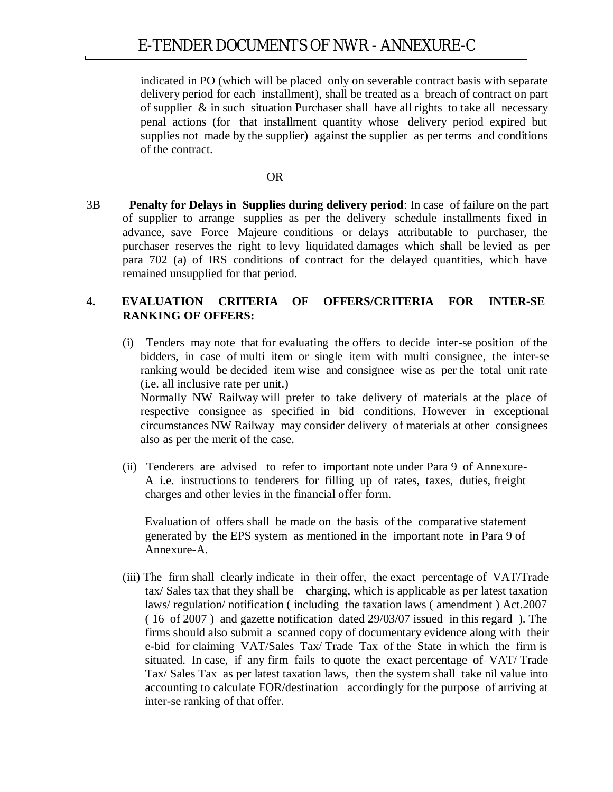indicated in PO (which will be placed only on severable contract basis with separate delivery period for each installment), shall be treated as a breach of contract on part of supplier & in such situation Purchaser shall have all rights to take all necessary penal actions (for that installment quantity whose delivery period expired but supplies not made by the supplier) against the supplier as per terms and conditions of the contract.

#### OR

3B **Penalty for Delays in Supplies during delivery period**: In case of failure on the part of supplier to arrange supplies as per the delivery schedule installments fixed in advance, save Force Majeure conditions or delays attributable to purchaser, the purchaser reserves the right to levy liquidated damages which shall be levied as per para 702 (a) of IRS conditions of contract for the delayed quantities, which have remained unsupplied for that period.

#### **4. EVALUATION CRITERIA OF OFFERS/CRITERIA FOR INTER-SE RANKING OF OFFERS:**

- (i) Tenders may note that for evaluating the offers to decide inter-se position of the bidders, in case of multi item or single item with multi consignee, the inter-se ranking would be decided item wise and consignee wise as per the total unit rate (i.e. all inclusive rate per unit.) Normally NW Railway will prefer to take delivery of materials at the place of respective consignee as specified in bid conditions. However in exceptional circumstances NW Railway may consider delivery of materials at other consignees also as per the merit of the case.
- (ii) Tenderers are advised to refer to important note under Para 9 of Annexure-A i.e. instructions to tenderers for filling up of rates, taxes, duties, freight charges and other levies in the financial offer form.

Evaluation of offers shall be made on the basis of the comparative statement generated by the EPS system as mentioned in the important note in Para 9 of Annexure-A.

(iii) The firm shall clearly indicate in their offer, the exact percentage of VAT/Trade tax/ Sales tax that they shall be charging, which is applicable as per latest taxation laws/ regulation/ notification ( including the taxation laws ( amendment ) Act.2007 ( 16 of 2007 ) and gazette notification dated 29/03/07 issued in this regard ). The firms should also submit a scanned copy of documentary evidence along with their e-bid for claiming VAT/Sales Tax/ Trade Tax of the State in which the firm is situated. In case, if any firm fails to quote the exact percentage of VAT/ Trade Tax/ Sales Tax as per latest taxation laws, then the system shall take nil value into accounting to calculate FOR/destination accordingly for the purpose of arriving at inter-se ranking of that offer.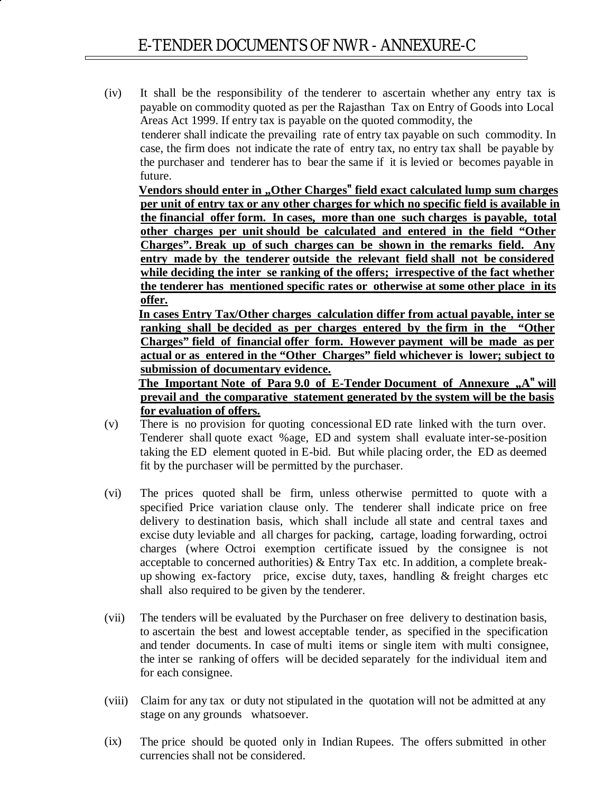(iv) It shall be the responsibility of the tenderer to ascertain whether any entry tax is payable on commodity quoted as per the Rajasthan Tax on Entry of Goods into Local Areas Act 1999. If entry tax is payable on the quoted commodity, the

tenderer shall indicate the prevailing rate of entry tax payable on such commodity. In case, the firm does not indicate the rate of entry tax, no entry tax shall be payable by the purchaser and tenderer has to bear the same if it is levied or becomes payable in future.

**Vendors should enter in "Other Charges" field exact calculated lump sum charges per unit of entry tax or any other charges for which no specific field is available in the financial offer form. In cases, more than one such charges is payable, total other charges per unit should be calculated and entered in the field "Other Charges". Break up of such charges can be shown in the remarks field. Any entry made by the tenderer outside the relevant field shall not be considered while deciding the inter se ranking of the offers; irrespective of the fact whether the tenderer has mentioned specific rates or otherwise at some other place in its offer.**

**In cases Entry Tax/Other charges calculation differ from actual payable, inter se ranking shall be decided as per charges entered by the firm in the "Other Charges" field of financial offer form. However payment will be made as per actual or as entered in the "Other Charges" field whichever is lower; subject to submission of documentary evidence.**

**The Important Note of Para 9.0 of E-Tender Document of Annexure "A" will prevail and the comparative statement generated by the system will be the basis for evaluation of offers.**

- (v) There is no provision for quoting concessional ED rate linked with the turn over. Tenderer shall quote exact %age, ED and system shall evaluate inter-se-position taking the ED element quoted in E-bid. But while placing order, the ED as deemed fit by the purchaser will be permitted by the purchaser.
- (vi) The prices quoted shall be firm, unless otherwise permitted to quote with a specified Price variation clause only. The tenderer shall indicate price on free delivery to destination basis, which shall include all state and central taxes and excise duty leviable and all charges for packing, cartage, loading forwarding, octroi charges (where Octroi exemption certificate issued by the consignee is not acceptable to concerned authorities) & Entry Tax etc. In addition, a complete breakup showing ex-factory price, excise duty, taxes, handling & freight charges etc shall also required to be given by the tenderer.
- (vii) The tenders will be evaluated by the Purchaser on free delivery to destination basis, to ascertain the best and lowest acceptable tender, as specified in the specification and tender documents. In case of multi items or single item with multi consignee, the inter se ranking of offers will be decided separately for the individual item and for each consignee.
- (viii) Claim for any tax or duty not stipulated in the quotation will not be admitted at any stage on any grounds whatsoever.
- (ix) The price should be quoted only in Indian Rupees. The offers submitted in other currencies shall not be considered.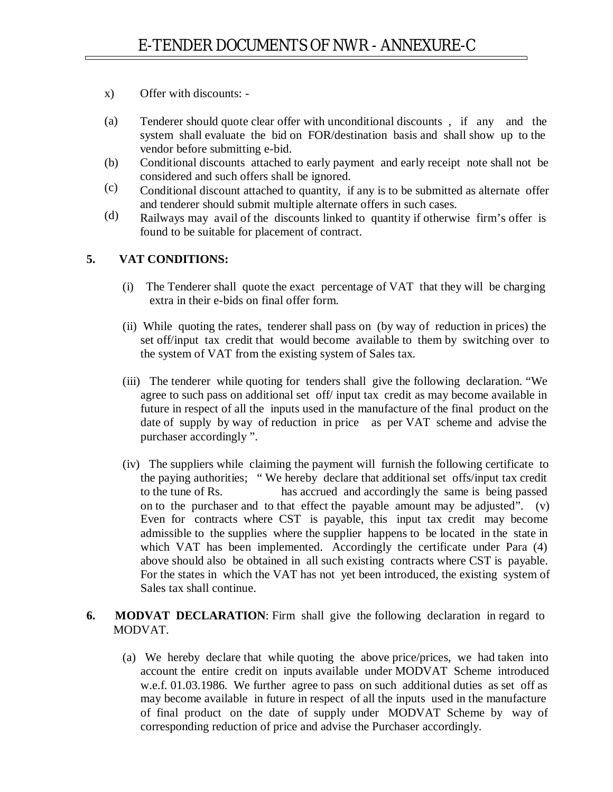- x) Offer with discounts: -
- (a) Tenderer should quote clear offer with unconditional discounts , if any and the system shall evaluate the bid on FOR/destination basis and shall show up to the vendor before submitting e-bid.
- (b) Conditional discounts attached to early payment and early receipt note shall not be considered and such offers shall be ignored.
- (c) Conditional discount attached to quantity, if any is to be submitted as alternate offer and tenderer should submit multiple alternate offers in such cases.
- (d) Railways may avail of the discounts linked to quantity if otherwise firm's offer is found to be suitable for placement of contract.

# **5. VAT CONDITIONS:**

- (i) The Tenderer shall quote the exact percentage of VAT that they will be charging extra in their e-bids on final offer form.
- (ii) While quoting the rates, tenderer shall pass on (by way of reduction in prices) the set off/input tax credit that would become available to them by switching over to the system of VAT from the existing system of Sales tax.
- (iii) The tenderer while quoting for tenders shall give the following declaration. "We agree to such pass on additional set off/ input tax credit as may become available in future in respect of all the inputs used in the manufacture of the final product on the date of supply by way of reduction in price as per VAT scheme and advise the purchaser accordingly ".
- (iv) The suppliers while claiming the payment will furnish the following certificate to the paying authorities; "We hereby declare that additional set offs/input tax credit<br>to the tune of Rs has accrued and accordingly the same is being passed has accrued and accordingly the same is being passed on to the purchaser and to that effect the payable amount may be adjusted". (v) Even for contracts where CST is payable, this input tax credit may become admissible to the supplies where the supplier happens to be located in the state in which VAT has been implemented. Accordingly the certificate under Para  $(4)$ above should also be obtained in all such existing contracts where CST is payable. For the states in which the VAT has not yet been introduced, the existing system of Sales tax shall continue.

# **6. MODVAT DECLARATION**: Firm shall give the following declaration in regard to MODVAT.

(a) We hereby declare that while quoting the above price/prices, we had taken into account the entire credit on inputs available under MODVAT Scheme introduced w.e.f. 01.03.1986. We further agree to pass on such additional duties as set off as may become available in future in respect of all the inputs used in the manufacture of final product on the date of supply under MODVAT Scheme by way of corresponding reduction of price and advise the Purchaser accordingly.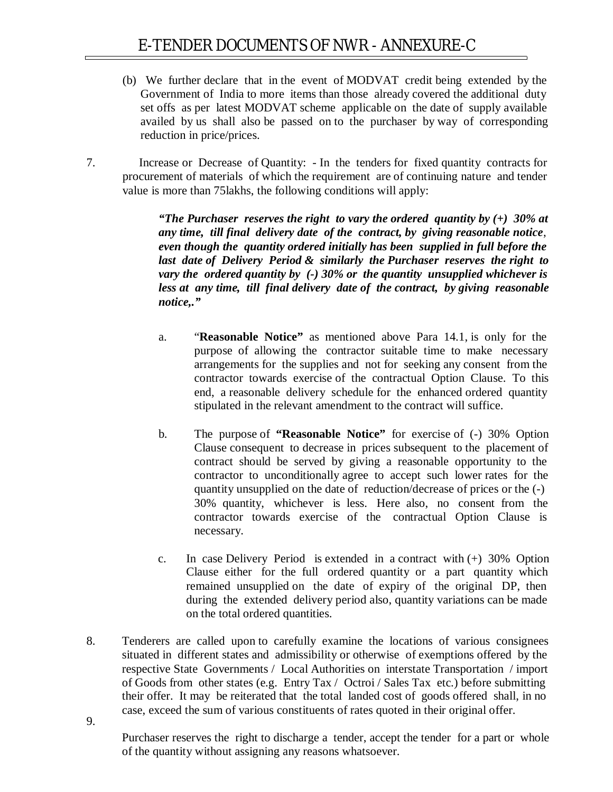- (b) We further declare that in the event of MODVAT credit being extended by the Government of India to more items than those already covered the additional duty set offs as per latest MODVAT scheme applicable on the date of supply available availed by us shall also be passed on to the purchaser by way of corresponding reduction in price/prices.
- 7. Increase or Decrease of Quantity: In the tenders for fixed quantity contracts for procurement of materials of which the requirement are of continuing nature and tender value is more than 75lakhs, the following conditions will apply:

*"The Purchaser reserves the right to vary the ordered quantity by (+) 30% at any time, till final delivery date of the contract, by giving reasonable notice*, *even though the quantity ordered initially has been supplied in full before the last date of Delivery Period & similarly the Purchaser reserves the right to vary the ordered quantity by (-) 30% or the quantity unsupplied whichever is less at any time, till final delivery date of the contract, by giving reasonable notice,."*

- a. "**Reasonable Notice"** as mentioned above Para 14.1, is only for the purpose of allowing the contractor suitable time to make necessary arrangements for the supplies and not for seeking any consent from the contractor towards exercise of the contractual Option Clause. To this end, a reasonable delivery schedule for the enhanced ordered quantity stipulated in the relevant amendment to the contract will suffice.
- b. The purpose of **"Reasonable Notice"** for exercise of (-) 30% Option Clause consequent to decrease in prices subsequent to the placement of contract should be served by giving a reasonable opportunity to the contractor to unconditionally agree to accept such lower rates for the quantity unsupplied on the date of reduction/decrease of prices or the (-) 30% quantity, whichever is less. Here also, no consent from the contractor towards exercise of the contractual Option Clause is necessary.
- c. In case Delivery Period is extended in a contract with (+) 30% Option Clause either for the full ordered quantity or a part quantity which remained unsupplied on the date of expiry of the original DP, then during the extended delivery period also, quantity variations can be made on the total ordered quantities.
- 8. Tenderers are called upon to carefully examine the locations of various consignees situated in different states and admissibility or otherwise of exemptions offered by the respective State Governments / Local Authorities on interstate Transportation / import of Goods from other states (e.g. Entry Tax / Octroi / Sales Tax etc.) before submitting their offer. It may be reiterated that the total landed cost of goods offered shall, in no case, exceed the sum of various constituents of rates quoted in their original offer.

9.

Purchaser reserves the right to discharge a tender, accept the tender for a part or whole of the quantity without assigning any reasons whatsoever.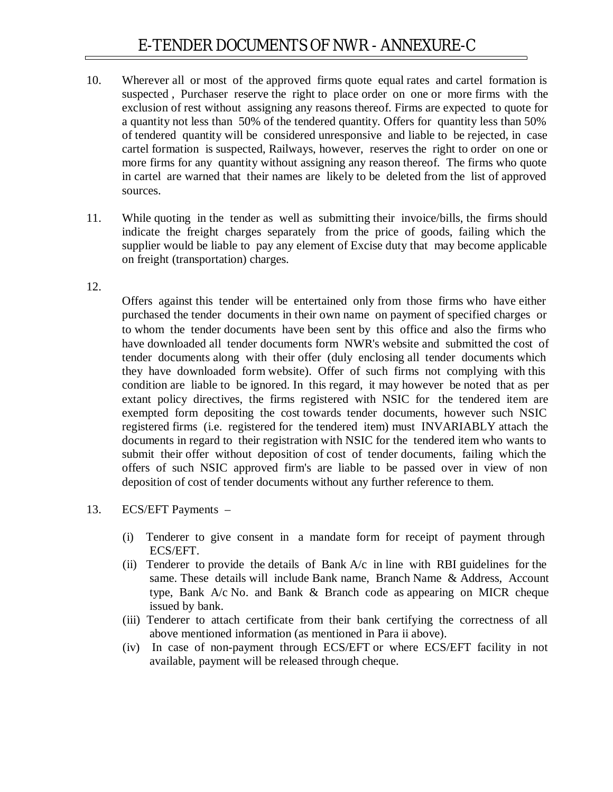- 10. Wherever all or most of the approved firms quote equal rates and cartel formation is suspected , Purchaser reserve the right to place order on one or more firms with the exclusion of rest without assigning any reasons thereof. Firms are expected to quote for a quantity not less than 50% of the tendered quantity. Offers for quantity less than 50% of tendered quantity will be considered unresponsive and liable to be rejected, in case cartel formation is suspected, Railways, however, reserves the right to order on one or more firms for any quantity without assigning any reason thereof. The firms who quote in cartel are warned that their names are likely to be deleted from the list of approved sources.
- 11. While quoting in the tender as well as submitting their invoice/bills, the firms should indicate the freight charges separately from the price of goods, failing which the supplier would be liable to pay any element of Excise duty that may become applicable on freight (transportation) charges.

#### 12.

Offers against this tender will be entertained only from those firms who have either purchased the tender documents in their own name on payment of specified charges or to whom the tender documents have been sent by this office and also the firms who have downloaded all tender documents form NWR's website and submitted the cost of tender documents along with their offer (duly enclosing all tender documents which they have downloaded form website). Offer of such firms not complying with this condition are liable to be ignored. In this regard, it may however be noted that as per extant policy directives, the firms registered with NSIC for the tendered item are exempted form depositing the cost towards tender documents, however such NSIC registered firms (i.e. registered for the tendered item) must INVARIABLY attach the documents in regard to their registration with NSIC for the tendered item who wants to submit their offer without deposition of cost of tender documents, failing which the offers of such NSIC approved firm's are liable to be passed over in view of non deposition of cost of tender documents without any further reference to them.

- 13. ECS/EFT Payments
	- (i) Tenderer to give consent in a mandate form for receipt of payment through ECS/EFT.
	- (ii) Tenderer to provide the details of Bank A/c in line with RBI guidelines for the same. These details will include Bank name, Branch Name & Address, Account type, Bank A/c No. and Bank & Branch code as appearing on MICR cheque issued by bank.
	- (iii) Tenderer to attach certificate from their bank certifying the correctness of all above mentioned information (as mentioned in Para ii above).
	- (iv) In case of non-payment through ECS/EFT or where ECS/EFT facility in not available, payment will be released through cheque.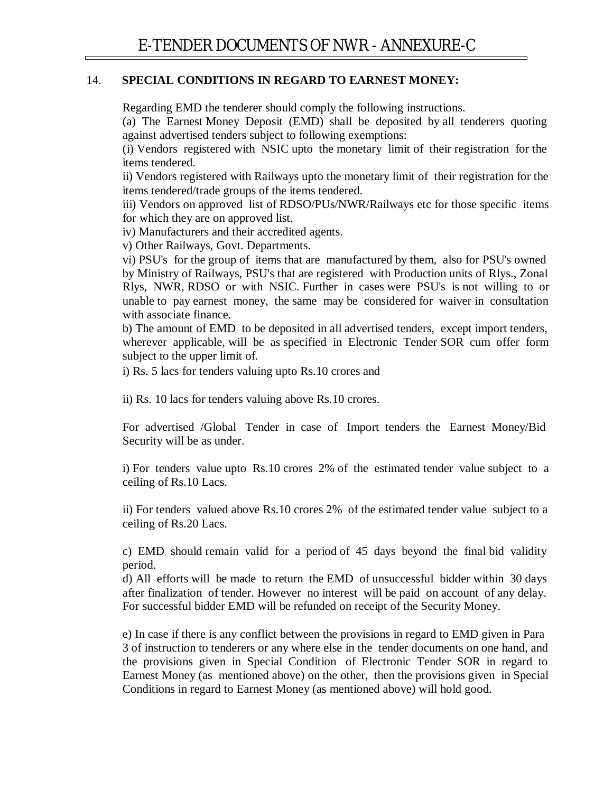#### 14. **SPECIAL CONDITIONS IN REGARD TO EARNEST MONEY:**

Regarding EMD the tenderer should comply the following instructions.

(a) The Earnest Money Deposit (EMD) shall be deposited by all tenderers quoting against advertised tenders subject to following exemptions:

(i) Vendors registered with NSIC upto the monetary limit of their registration for the items tendered.

ii) Vendors registered with Railways upto the monetary limit of their registration for the items tendered/trade groups of the items tendered.

iii) Vendors on approved list of RDSO/PUs/NWR/Railways etc for those specific items for which they are on approved list.

iv) Manufacturers and their accredited agents.

v) Other Railways, Govt. Departments.

vi) PSU's for the group of items that are manufactured by them, also for PSU's owned by Ministry of Railways, PSU's that are registered with Production units of Rlys., Zonal Rlys, NWR, RDSO or with NSIC. Further in cases were PSU's is not willing to or unable to pay earnest money, the same may be considered for waiver in consultation with associate finance.

b) The amount of EMD to be deposited in all advertised tenders, except import tenders, wherever applicable, will be as specified in Electronic Tender SOR cum offer form subject to the upper limit of.

i) Rs. 5 lacs for tenders valuing upto Rs.10 crores and

ii) Rs. 10 lacs for tenders valuing above Rs.10 crores.

For advertised /Global Tender in case of Import tenders the Earnest Money/Bid Security will be as under.

i) For tenders value upto Rs.10 crores 2% of the estimated tender value subject to a ceiling of Rs.10 Lacs.

ii) For tenders valued above Rs.10 crores 2% of the estimated tender value subject to a ceiling of Rs.20 Lacs.

c) EMD should remain valid for a period of 45 days beyond the final bid validity period.

d) All efforts will be made to return the EMD of unsuccessful bidder within 30 days after finalization of tender. However no interest will be paid on account of any delay. For successful bidder EMD will be refunded on receipt of the Security Money.

e) In case if there is any conflict between the provisions in regard to EMD given in Para 3 of instruction to tenderers or any where else in the tender documents on one hand, and the provisions given in Special Condition of Electronic Tender SOR in regard to Earnest Money (as mentioned above) on the other, then the provisions given in Special Conditions in regard to Earnest Money (as mentioned above) will hold good.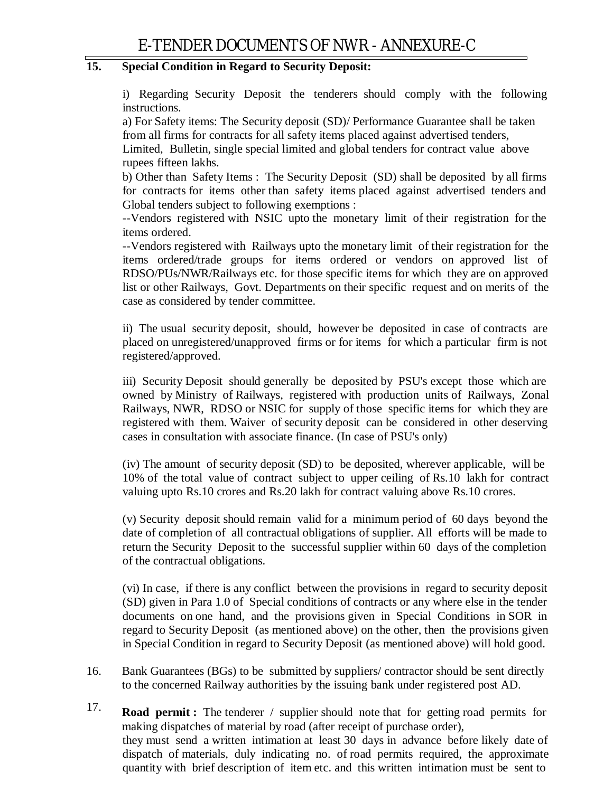# **15. Special Condition in Regard to Security Deposit:**

i) Regarding Security Deposit the tenderers should comply with the following instructions.

a) For Safety items: The Security deposit (SD)/ Performance Guarantee shall be taken from all firms for contracts for all safety items placed against advertised tenders,

Limited, Bulletin, single special limited and global tenders for contract value above rupees fifteen lakhs.

b) Other than Safety Items : The Security Deposit (SD) shall be deposited by all firms for contracts for items other than safety items placed against advertised tenders and Global tenders subject to following exemptions :

--Vendors registered with NSIC upto the monetary limit of their registration for the items ordered.

--Vendors registered with Railways upto the monetary limit of their registration for the items ordered/trade groups for items ordered or vendors on approved list of RDSO/PUs/NWR/Railways etc. for those specific items for which they are on approved list or other Railways, Govt. Departments on their specific request and on merits of the case as considered by tender committee.

ii) The usual security deposit, should, however be deposited in case of contracts are placed on unregistered/unapproved firms or for items for which a particular firm is not registered/approved.

iii) Security Deposit should generally be deposited by PSU's except those which are owned by Ministry of Railways, registered with production units of Railways, Zonal Railways, NWR, RDSO or NSIC for supply of those specific items for which they are registered with them. Waiver of security deposit can be considered in other deserving cases in consultation with associate finance. (In case of PSU's only)

(iv) The amount of security deposit (SD) to be deposited, wherever applicable, will be 10% of the total value of contract subject to upper ceiling of Rs.10 lakh for contract valuing upto Rs.10 crores and Rs.20 lakh for contract valuing above Rs.10 crores.

(v) Security deposit should remain valid for a minimum period of 60 days beyond the date of completion of all contractual obligations of supplier. All efforts will be made to return the Security Deposit to the successful supplier within 60 days of the completion of the contractual obligations.

(vi) In case, if there is any conflict between the provisions in regard to security deposit (SD) given in Para 1.0 of Special conditions of contracts or any where else in the tender documents on one hand, and the provisions given in Special Conditions in SOR in regard to Security Deposit (as mentioned above) on the other, then the provisions given in Special Condition in regard to Security Deposit (as mentioned above) will hold good.

- 16. Bank Guarantees (BGs) to be submitted by suppliers/ contractor should be sent directly to the concerned Railway authorities by the issuing bank under registered post AD.
- 17. **Road permit :** The tenderer / supplier should note that for getting road permits for making dispatches of material by road (after receipt of purchase order), they must send a written intimation at least 30 days in advance before likely date of dispatch of materials, duly indicating no. of road permits required, the approximate quantity with brief description of item etc. and this written intimation must be sent to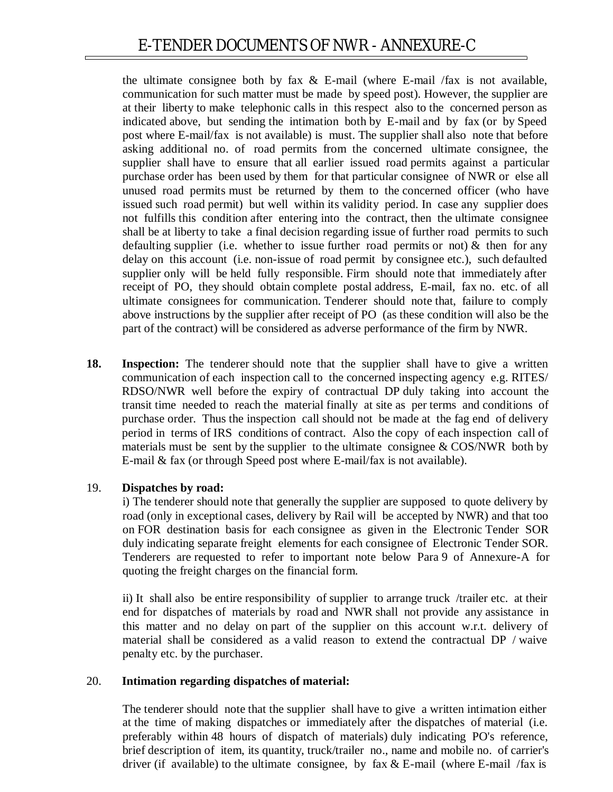the ultimate consignee both by fax  $\&$  E-mail (where E-mail /fax is not available, communication for such matter must be made by speed post). However, the supplier are at their liberty to make telephonic calls in this respect also to the concerned person as indicated above, but sending the intimation both by E-mail and by fax (or by Speed post where E-mail/fax is not available) is must. The supplier shall also note that before asking additional no. of road permits from the concerned ultimate consignee, the supplier shall have to ensure that all earlier issued road permits against a particular purchase order has been used by them for that particular consignee of NWR or else all unused road permits must be returned by them to the concerned officer (who have issued such road permit) but well within its validity period. In case any supplier does not fulfills this condition after entering into the contract, then the ultimate consignee shall be at liberty to take a final decision regarding issue of further road permits to such defaulting supplier (i.e. whether to issue further road permits or not)  $\&$  then for any delay on this account (i.e. non-issue of road permit by consignee etc.), such defaulted supplier only will be held fully responsible. Firm should note that immediately after receipt of PO, they should obtain complete postal address, E-mail, fax no. etc. of all ultimate consignees for communication. Tenderer should note that, failure to comply above instructions by the supplier after receipt of PO (as these condition will also be the part of the contract) will be considered as adverse performance of the firm by NWR.

**18. Inspection:** The tenderer should note that the supplier shall have to give a written communication of each inspection call to the concerned inspecting agency e.g. RITES/ RDSO/NWR well before the expiry of contractual DP duly taking into account the transit time needed to reach the material finally at site as per terms and conditions of purchase order. Thus the inspection call should not be made at the fag end of delivery period in terms of IRS conditions of contract. Also the copy of each inspection call of materials must be sent by the supplier to the ultimate consignee  $& COS/NWR$  both by E-mail & fax (or through Speed post where E-mail/fax is not available).

#### 19. **Dispatches by road:**

i) The tenderer should note that generally the supplier are supposed to quote delivery by road (only in exceptional cases, delivery by Rail will be accepted by NWR) and that too on FOR destination basis for each consignee as given in the Electronic Tender SOR duly indicating separate freight elements for each consignee of Electronic Tender SOR. Tenderers are requested to refer to important note below Para 9 of Annexure-A for quoting the freight charges on the financial form.

ii) It shall also be entire responsibility of supplier to arrange truck /trailer etc. at their end for dispatches of materials by road and NWR shall not provide any assistance in this matter and no delay on part of the supplier on this account w.r.t. delivery of material shall be considered as a valid reason to extend the contractual DP / waive penalty etc. by the purchaser.

#### 20. **Intimation regarding dispatches of material:**

The tenderer should note that the supplier shall have to give a written intimation either at the time of making dispatches or immediately after the dispatches of material (i.e. preferably within 48 hours of dispatch of materials) duly indicating PO's reference, brief description of item, its quantity, truck/trailer no., name and mobile no. of carrier's driver (if available) to the ultimate consignee, by fax  $&E$ -mail (where E-mail /fax is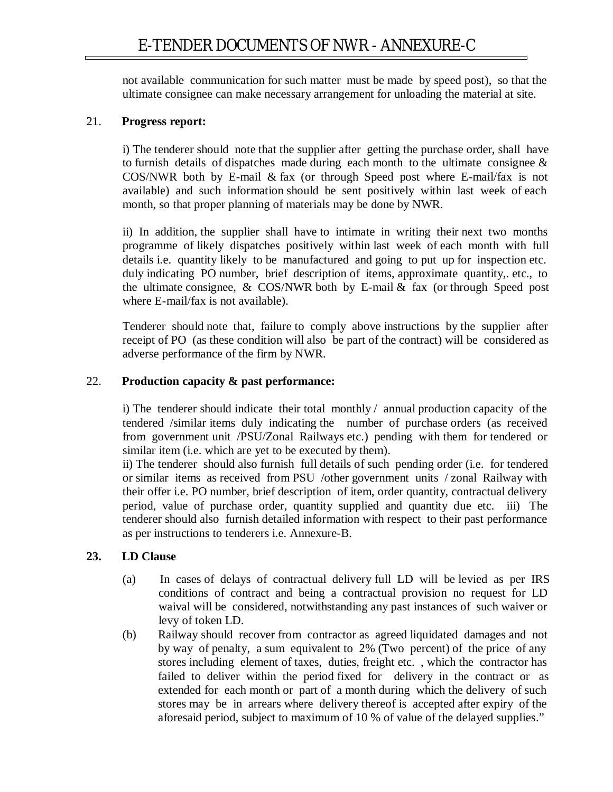not available communication for such matter must be made by speed post), so that the ultimate consignee can make necessary arrangement for unloading the material at site.

#### 21. **Progress report:**

i) The tenderer should note that the supplier after getting the purchase order, shall have to furnish details of dispatches made during each month to the ultimate consignee  $\&$ COS/NWR both by E-mail & fax (or through Speed post where E-mail/fax is not available) and such information should be sent positively within last week of each month, so that proper planning of materials may be done by NWR.

ii) In addition, the supplier shall have to intimate in writing their next two months programme of likely dispatches positively within last week of each month with full details i.e. quantity likely to be manufactured and going to put up for inspection etc. duly indicating PO number, brief description of items, approximate quantity,. etc., to the ultimate consignee,  $& COS/NWR$  both by E-mail  $& fax$  (or through Speed post where E-mail/fax is not available).

Tenderer should note that, failure to comply above instructions by the supplier after receipt of PO (as these condition will also be part of the contract) will be considered as adverse performance of the firm by NWR.

#### 22. **Production capacity & past performance:**

i) The tenderer should indicate their total monthly / annual production capacity of the tendered /similar items duly indicating the number of purchase orders (as received from government unit /PSU/Zonal Railways etc.) pending with them for tendered or similar item (i.e. which are yet to be executed by them).

ii) The tenderer should also furnish full details of such pending order (i.e. for tendered or similar items as received from PSU /other government units / zonal Railway with their offer i.e. PO number, brief description of item, order quantity, contractual delivery period, value of purchase order, quantity supplied and quantity due etc. iii) The tenderer should also furnish detailed information with respect to their past performance as per instructions to tenderers i.e. Annexure-B.

# **23. LD Clause**

- (a) In cases of delays of contractual delivery full LD will be levied as per IRS conditions of contract and being a contractual provision no request for LD waival will be considered, notwithstanding any past instances of such waiver or levy of token LD.
- (b) Railway should recover from contractor as agreed liquidated damages and not by way of penalty, a sum equivalent to 2% (Two percent) of the price of any stores including element of taxes, duties, freight etc. , which the contractor has failed to deliver within the period fixed for delivery in the contract or as extended for each month or part of a month during which the delivery of such stores may be in arrears where delivery thereof is accepted after expiry of the aforesaid period, subject to maximum of 10 % of value of the delayed supplies."